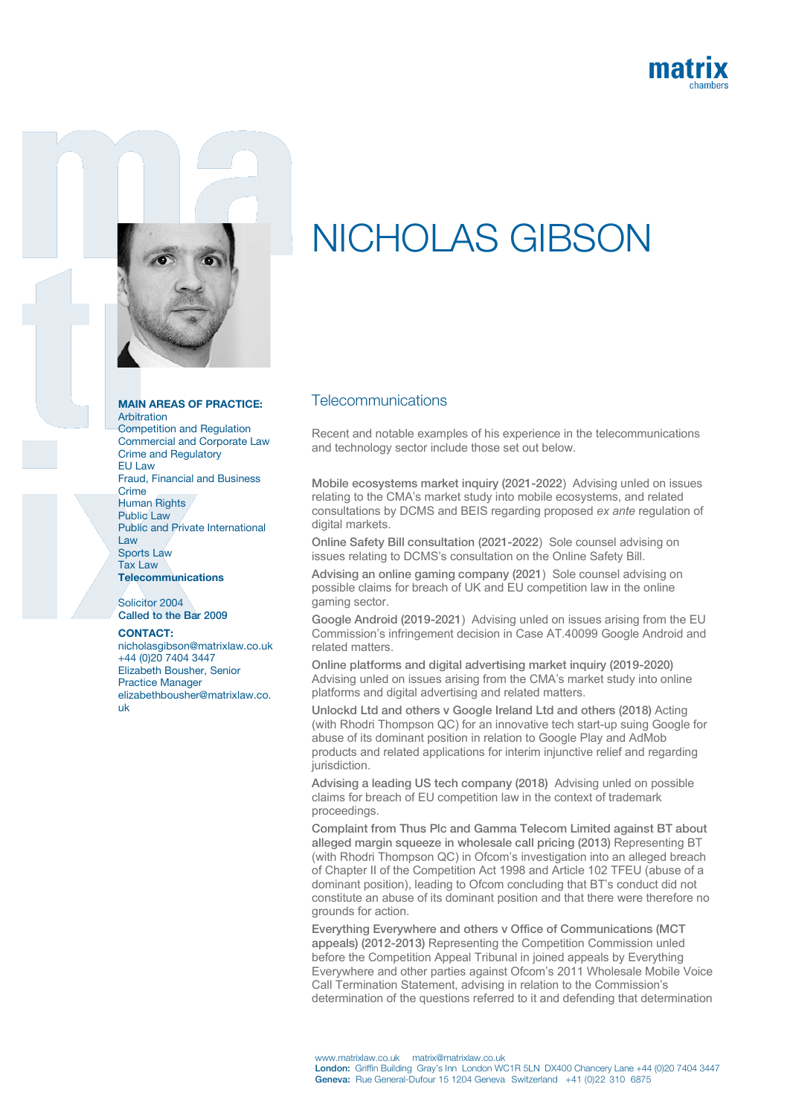



## MAIN AREAS OF PRACTICE:

Arbitration Competition and Regulation Commercial and Corporate Law Crime and Regulatory EU Law Fraud, Financial and Business Crime Human Rights Public Law Public and Private International Law Sports Law Tax Law **Telecommunications** 

Solicitor 2004 Called to the Bar 2009

## CONTACT:

nicholasgibson@matrixlaw.co.uk +44 (0)20 7404 3447 Elizabeth Bousher, Senior Practice Manager elizabethbousher@matrixlaw.co. uk

## NICHOLAS GIBSON

## **Telecommunications**

Recent and notable examples of his experience in the telecommunications and technology sector include those set out below.

Mobile ecosystems market inquiry (2021-2022) Advising unled on issues relating to the CMA's market study into mobile ecosystems, and related consultations by DCMS and BEIS regarding proposed *ex ante* regulation of digital markets.

Online Safety Bill consultation (2021-2022) Sole counsel advising on issues relating to DCMS's consultation on the Online Safety Bill.

Advising an online gaming company (2021) Sole counsel advising on possible claims for breach of UK and EU competition law in the online gaming sector.

Google Android (2019-2021) Advising unled on issues arising from the EU Commission's infringement decision in Case AT.40099 Google Android and related matters.

Online platforms and digital advertising market inquiry (2019-2020) Advising unled on issues arising from the CMA's market study into online platforms and digital advertising and related matters.

Unlockd Ltd and others v Google Ireland Ltd and others (2018) Acting (with Rhodri Thompson QC) for an innovative tech start-up suing Google for abuse of its dominant position in relation to Google Play and AdMob products and related applications for interim injunctive relief and regarding jurisdiction.

Advising a leading US tech company (2018) Advising unled on possible claims for breach of EU competition law in the context of trademark proceedings.

Complaint from Thus Plc and Gamma Telecom Limited against BT about alleged margin squeeze in wholesale call pricing (2013) Representing BT (with Rhodri Thompson QC) in Ofcom's investigation into an alleged breach of Chapter II of the Competition Act 1998 and Article 102 TFEU (abuse of a dominant position), leading to Ofcom concluding that BT's conduct did not constitute an abuse of its dominant position and that there were therefore no grounds for action.

Everything Everywhere and others v Office of Communications (MCT appeals) (2012-2013) Representing the Competition Commission unled before the Competition Appeal Tribunal in joined appeals by Everything Everywhere and other parties against Ofcom's 2011 Wholesale Mobile Voice Call Termination Statement, advising in relation to the Commission's determination of the questions referred to it and defending that determination

www.matrixlaw.co.uk matrix@matrixlaw.co.uk London: Griffin Building Gray's Inn London WC1R 5LN DX400 Chancery Lane +44 (0)20 7404 3447 Geneva: Rue General-Dufour 15 1204 Geneva Switzerland +41 (0)22 310 6875